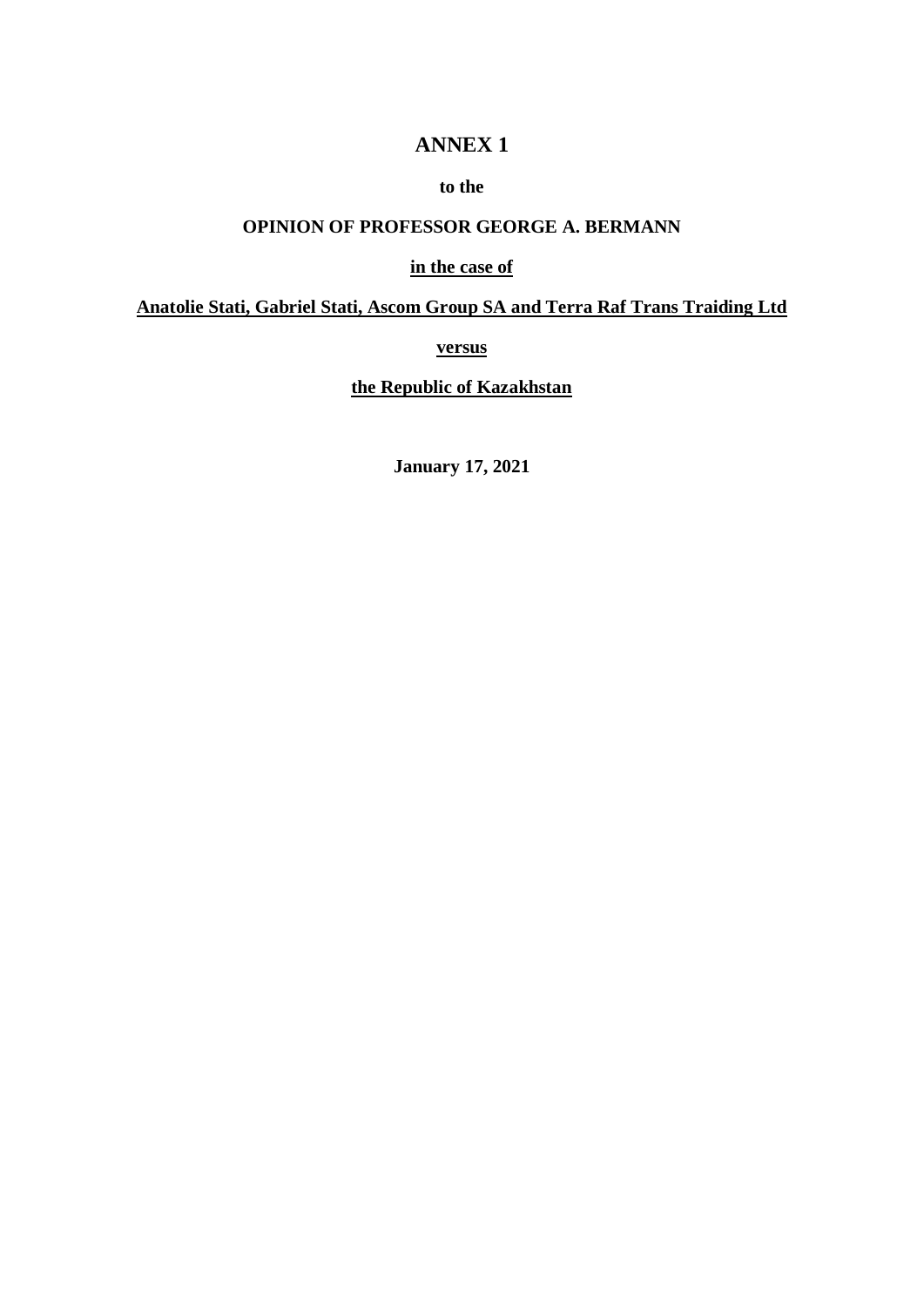## **ANNEX 1**

#### **to the**

# **OPINION OF PROFESSOR GEORGE A. BERMANN**

### **in the case of**

#### **Anatolie Stati, Gabriel Stati, Ascom Group SA and Terra Raf Trans Traiding Ltd**

**versus**

**the Republic of Kazakhstan**

**January 17, 2021**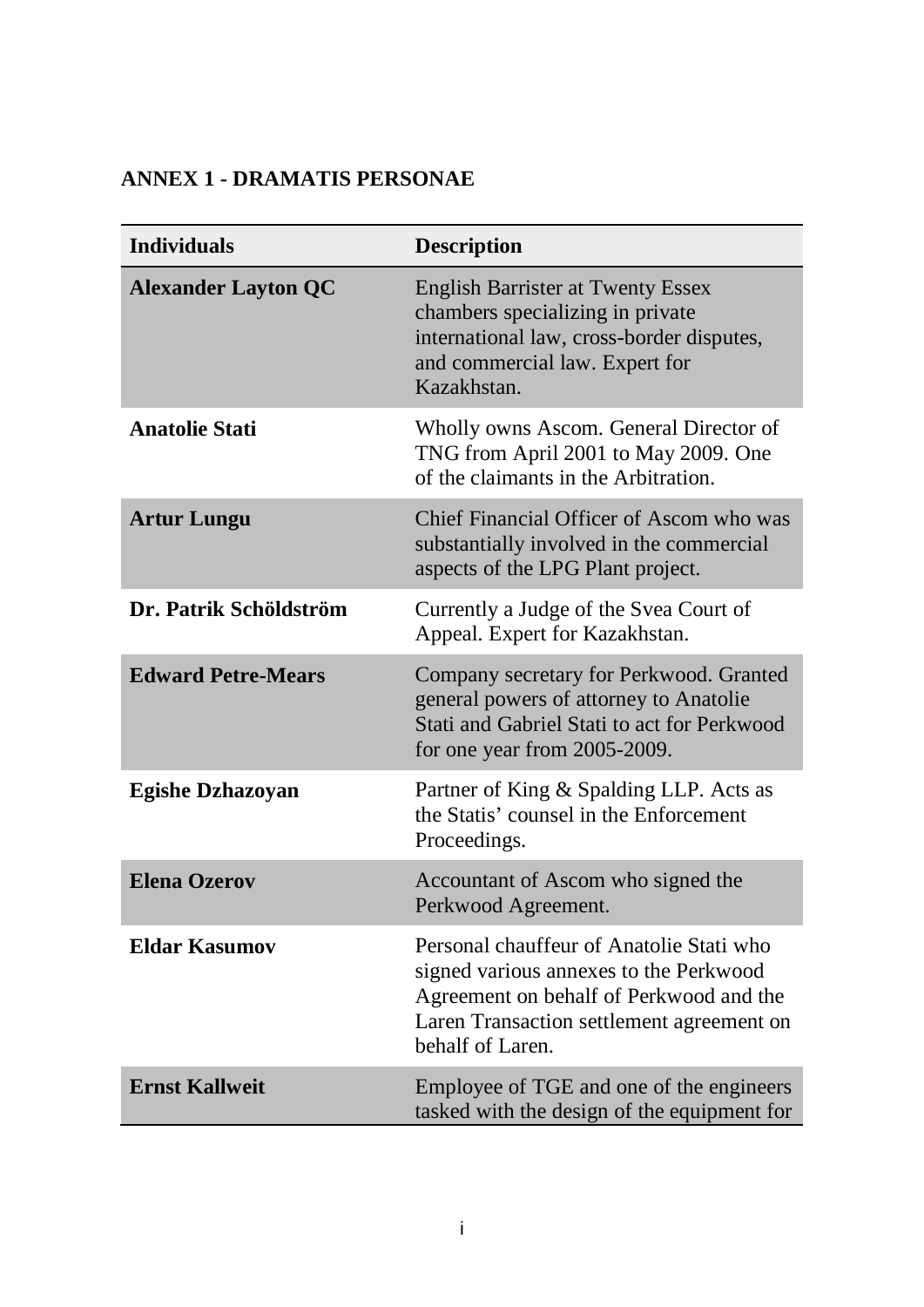# **ANNEX 1 - DRAMATIS PERSONAE**

| <b>Individuals</b>         | <b>Description</b>                                                                                                                                                                             |
|----------------------------|------------------------------------------------------------------------------------------------------------------------------------------------------------------------------------------------|
| <b>Alexander Layton QC</b> | <b>English Barrister at Twenty Essex</b><br>chambers specializing in private<br>international law, cross-border disputes,<br>and commercial law. Expert for<br>Kazakhstan.                     |
| <b>Anatolie Stati</b>      | Wholly owns Ascom. General Director of<br>TNG from April 2001 to May 2009. One<br>of the claimants in the Arbitration.                                                                         |
| <b>Artur Lungu</b>         | Chief Financial Officer of Ascom who was<br>substantially involved in the commercial<br>aspects of the LPG Plant project.                                                                      |
| Dr. Patrik Schöldström     | Currently a Judge of the Svea Court of<br>Appeal. Expert for Kazakhstan.                                                                                                                       |
| <b>Edward Petre-Mears</b>  | Company secretary for Perkwood. Granted<br>general powers of attorney to Anatolie<br>Stati and Gabriel Stati to act for Perkwood<br>for one year from 2005-2009.                               |
| <b>Egishe Dzhazoyan</b>    | Partner of King & Spalding LLP. Acts as<br>the Statis' counsel in the Enforcement<br>Proceedings.                                                                                              |
| <b>Elena Ozerov</b>        | Accountant of Ascom who signed the<br>Perkwood Agreement.                                                                                                                                      |
| <b>Eldar Kasumov</b>       | Personal chauffeur of Anatolie Stati who<br>signed various annexes to the Perkwood<br>Agreement on behalf of Perkwood and the<br>Laren Transaction settlement agreement on<br>behalf of Laren. |
| <b>Ernst Kallweit</b>      | Employee of TGE and one of the engineers<br>tasked with the design of the equipment for                                                                                                        |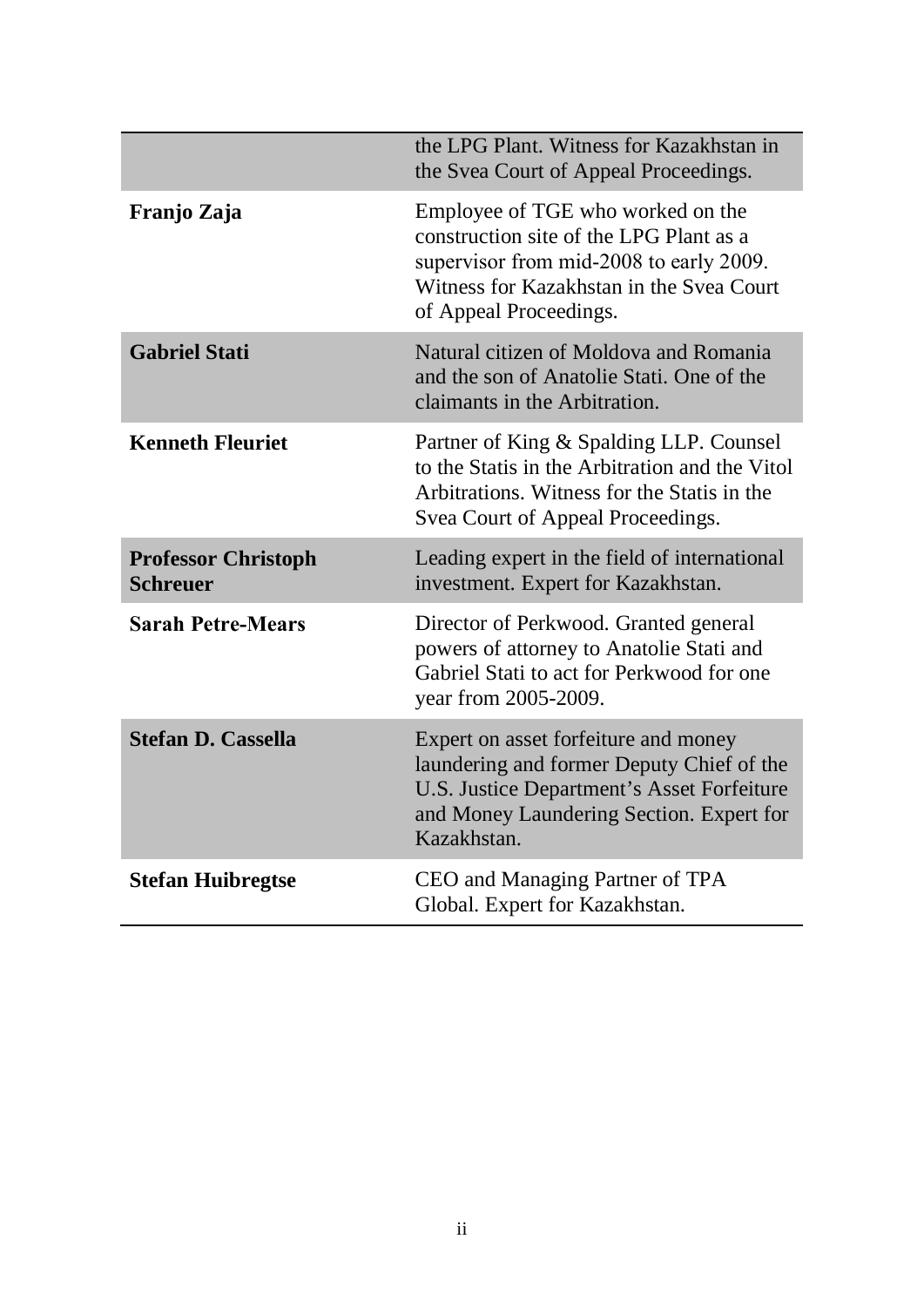|                                               | the LPG Plant. Witness for Kazakhstan in<br>the Svea Court of Appeal Proceedings.                                                                                                             |
|-----------------------------------------------|-----------------------------------------------------------------------------------------------------------------------------------------------------------------------------------------------|
| Franjo Zaja                                   | Employee of TGE who worked on the<br>construction site of the LPG Plant as a<br>supervisor from mid-2008 to early 2009.<br>Witness for Kazakhstan in the Svea Court<br>of Appeal Proceedings. |
| <b>Gabriel Stati</b>                          | Natural citizen of Moldova and Romania<br>and the son of Anatolie Stati. One of the<br>claimants in the Arbitration.                                                                          |
| <b>Kenneth Fleuriet</b>                       | Partner of King & Spalding LLP. Counsel<br>to the Statis in the Arbitration and the Vitol<br>Arbitrations. Witness for the Statis in the<br>Svea Court of Appeal Proceedings.                 |
| <b>Professor Christoph</b><br><b>Schreuer</b> | Leading expert in the field of international<br>investment. Expert for Kazakhstan.                                                                                                            |
| <b>Sarah Petre-Mears</b>                      | Director of Perkwood. Granted general<br>powers of attorney to Anatolie Stati and<br>Gabriel Stati to act for Perkwood for one<br>year from 2005-2009.                                        |
| <b>Stefan D. Cassella</b>                     | Expert on asset forfeiture and money<br>laundering and former Deputy Chief of the<br>U.S. Justice Department's Asset Forfeiture<br>and Money Laundering Section. Expert for<br>Kazakhstan.    |
| <b>Stefan Huibregtse</b>                      | CEO and Managing Partner of TPA<br>Global. Expert for Kazakhstan.                                                                                                                             |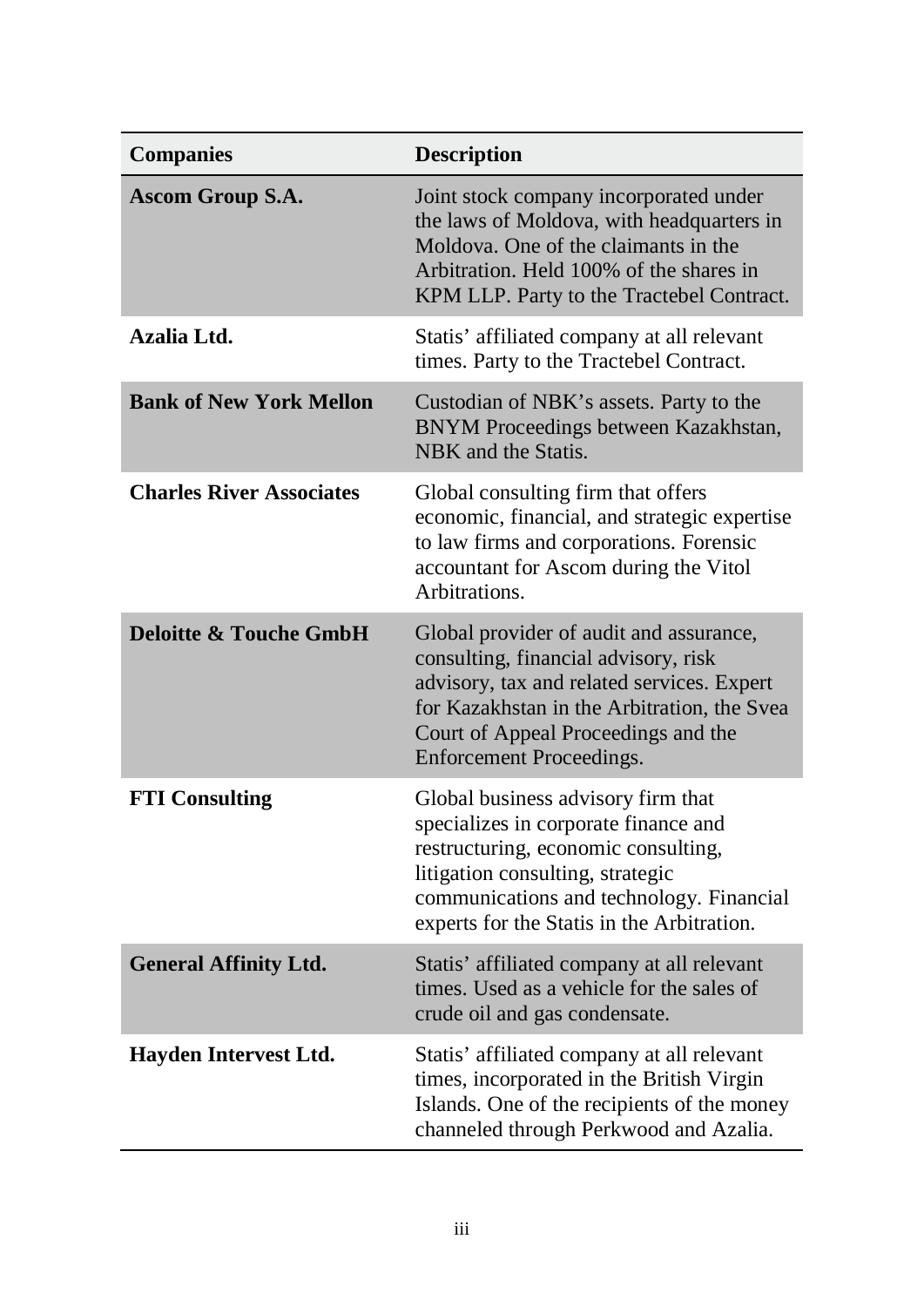| <b>Companies</b>                  | <b>Description</b>                                                                                                                                                                                                                                     |
|-----------------------------------|--------------------------------------------------------------------------------------------------------------------------------------------------------------------------------------------------------------------------------------------------------|
| <b>Ascom Group S.A.</b>           | Joint stock company incorporated under<br>the laws of Moldova, with headquarters in<br>Moldova. One of the claimants in the<br>Arbitration. Held 100% of the shares in<br>KPM LLP. Party to the Tractebel Contract.                                    |
| Azalia Ltd.                       | Statis' affiliated company at all relevant<br>times. Party to the Tractebel Contract.                                                                                                                                                                  |
| <b>Bank of New York Mellon</b>    | Custodian of NBK's assets. Party to the<br>BNYM Proceedings between Kazakhstan,<br>NBK and the Statis.                                                                                                                                                 |
| <b>Charles River Associates</b>   | Global consulting firm that offers<br>economic, financial, and strategic expertise<br>to law firms and corporations. Forensic<br>accountant for Ascom during the Vitol<br>Arbitrations.                                                                |
| <b>Deloitte &amp; Touche GmbH</b> | Global provider of audit and assurance,<br>consulting, financial advisory, risk<br>advisory, tax and related services. Expert<br>for Kazakhstan in the Arbitration, the Svea<br>Court of Appeal Proceedings and the<br><b>Enforcement Proceedings.</b> |
| <b>FTI Consulting</b>             | Global business advisory firm that<br>specializes in corporate finance and<br>restructuring, economic consulting,<br>litigation consulting, strategic<br>communications and technology. Financial<br>experts for the Statis in the Arbitration.        |
| <b>General Affinity Ltd.</b>      | Statis' affiliated company at all relevant<br>times. Used as a vehicle for the sales of<br>crude oil and gas condensate.                                                                                                                               |
| <b>Hayden Intervest Ltd.</b>      | Statis' affiliated company at all relevant<br>times, incorporated in the British Virgin<br>Islands. One of the recipients of the money<br>channeled through Perkwood and Azalia.                                                                       |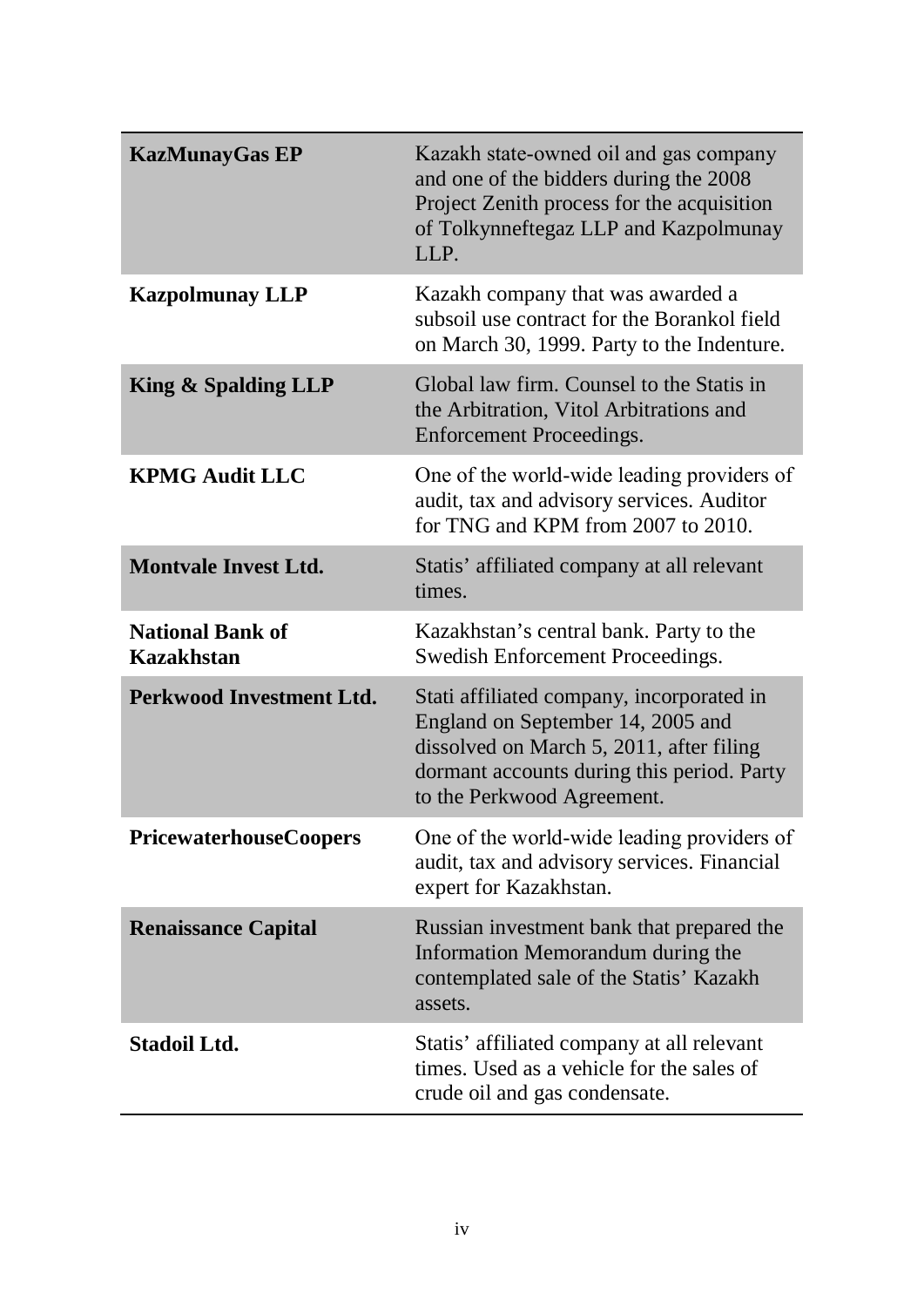| <b>KazMunayGas EP</b>                        | Kazakh state-owned oil and gas company<br>and one of the bidders during the 2008<br>Project Zenith process for the acquisition<br>of Tolkynneftegaz LLP and Kazpolmunay<br>LLP.                        |
|----------------------------------------------|--------------------------------------------------------------------------------------------------------------------------------------------------------------------------------------------------------|
| <b>Kazpolmunay LLP</b>                       | Kazakh company that was awarded a<br>subsoil use contract for the Borankol field<br>on March 30, 1999. Party to the Indenture.                                                                         |
| King & Spalding LLP                          | Global law firm. Counsel to the Statis in<br>the Arbitration, Vitol Arbitrations and<br><b>Enforcement Proceedings.</b>                                                                                |
| <b>KPMG Audit LLC</b>                        | One of the world-wide leading providers of<br>audit, tax and advisory services. Auditor<br>for TNG and KPM from 2007 to 2010.                                                                          |
| <b>Montvale Invest Ltd.</b>                  | Statis' affiliated company at all relevant<br>times.                                                                                                                                                   |
| <b>National Bank of</b><br><b>Kazakhstan</b> | Kazakhstan's central bank. Party to the<br>Swedish Enforcement Proceedings.                                                                                                                            |
| Perkwood Investment Ltd.                     | Stati affiliated company, incorporated in<br>England on September 14, 2005 and<br>dissolved on March 5, 2011, after filing<br>dormant accounts during this period. Party<br>to the Perkwood Agreement. |
| <b>PricewaterhouseCoopers</b>                | One of the world-wide leading providers of<br>audit, tax and advisory services. Financial<br>expert for Kazakhstan.                                                                                    |
| <b>Renaissance Capital</b>                   | Russian investment bank that prepared the<br>Information Memorandum during the<br>contemplated sale of the Statis' Kazakh<br>assets.                                                                   |
| <b>Stadoil Ltd.</b>                          | Statis' affiliated company at all relevant<br>times. Used as a vehicle for the sales of<br>crude oil and gas condensate.                                                                               |